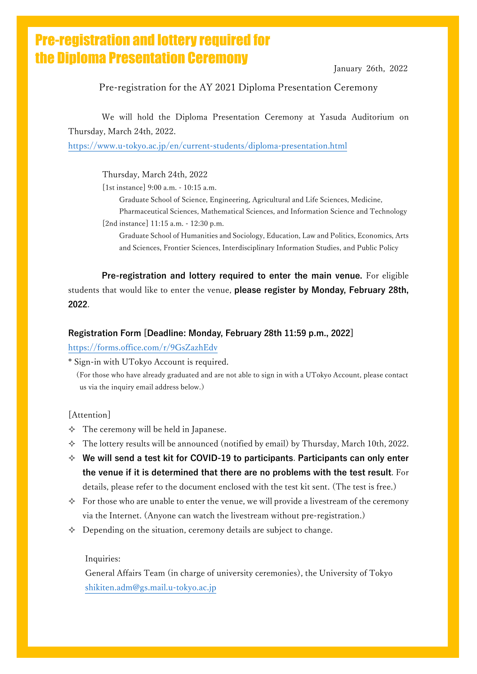# Pre-registration and lottery required for the Diploma Presentation Ceremony

January 26th, 2022

### Pre-registration for the AY 2021 Diploma Presentation Ceremony

We will hold the Diploma Presentation Ceremony at Yasuda Auditorium on Thursday, March 24th, 2022.

<https://www.u-tokyo.ac.jp/en/current-students/diploma-presentation.html>

Thursday, March 24th, 2022

[1st instance] 9:00 a.m. - 10:15 a.m.

Graduate School of Science, Engineering, Agricultural and Life Sciences, Medicine,

Pharmaceutical Sciences, Mathematical Sciences, and Information Science and Technology [2nd instance] 11:15 a.m. - 12:30 p.m.

Graduate School of Humanities and Sociology, Education, Law and Politics, Economics, Arts and Sciences, Frontier Sciences, Interdisciplinary Information Studies, and Public Policy

**Pre-registration and lottery required to enter the main venue.** For eligible students that would like to enter the venue, **please register by Monday, February 28th, 2022**.

#### **Registration Form [Deadline: Monday, February 28th 11:59 p.m., 2022]**

#### <https://forms.office.com/r/9GsZazhEdv>

\* Sign-in with UTokyo Account is required.

(For those who have already graduated and are not able to sign in with a UTokyo Account, please contact us via the inquiry email address below.)

#### [Attention]

- $\Diamond$  The ceremony will be held in Japanese.
- $\div$  The lottery results will be announced (notified by email) by Thursday, March 10th, 2022.
- **We will send a test kit for COVID-19 to participants**. **Participants can only enter the venue if it is determined that there are no problems with the test result**. For details, please refer to the document enclosed with the test kit sent. (The test is free.)
- $\Diamond$  For those who are unable to enter the venue, we will provide a livestream of the ceremony via the Internet. (Anyone can watch the livestream without pre-registration.)
- $\Diamond$  Depending on the situation, ceremony details are subject to change.

#### Inquiries:

General Affairs Team (in charge of university ceremonies), the University of Tokyo [shikiten.adm@gs.mail.u-tokyo.ac.jp](mailto:shikiten.adm@gs.mail.u-tokyo.ac.jp)